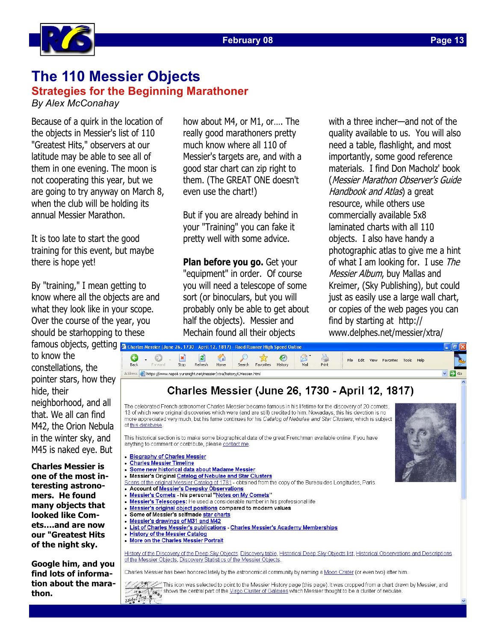

# **The 110 Messier Objects**

**Strategies for the Beginning Marathoner**  *By Alex McConahay* 

Because of a quirk in the location of the objects in Messier's list of 110 "Greatest Hits," observers at our latitude may be able to see all of them in one evening. The moon is not cooperating this year, but we are going to try anyway on March 8, when the club will be holding its annual Messier Marathon.

It is too late to start the good training for this event, but maybe there is hope yet!

By "training," I mean getting to know where all the objects are and what they look like in your scope. Over the course of the year, you should be starhopping to these

famous objects, getting 3 Charles Messier (June 26, 1730 - April 12, 1817) - Road Runner High Speed Online to know the constellations, the pointer stars, how they hide, their neighborhood, and all that. We all can find M42, the Orion Nebula in the winter sky, and M45 is naked eye. But

**Charles Messier is one of the most interesting astronomers. He found many objects that looked like Comets….and are now our "Greatest Hits of the night sky.** 

**Google him, and you find lots of information about the marathon.**

how about M4, or M1, or…. The really good marathoners pretty much know where all 110 of Messier's targets are, and with a good star chart can zip right to them. (The GREAT ONE doesn't even use the chart!)

But if you are already behind in your "Training" you can fake it pretty well with some advice.

**Plan before you go.** Get your "equipment" in order. Of course you will need a telescope of some sort (or binoculars, but you will probably only be able to get about half the objects). Messier and Mechain found all their objects

with a three incher—and not of the quality available to us. You will also need a table, flashlight, and most importantly, some good reference materials. I find Don Macholz' book (Messier Marathon Observer's Guide Handbook and Atlas) a great resource, while others use commercially available 5x8 laminated charts with all 110 objects. I also have handy a photographic atlas to give me a hint of what I am looking for. I use The Messier Album, buy Mallas and Kreimer, (Sky Publishing), but could just as easily use a large wall chart, or copies of the web pages you can find by starting at http:// www.delphes.net/messier/xtra/



This icon was selected to point to the Messier History page (this page). It was cropped from a chart draw<br>and the Virgo Cluster of Galaxies which Messier thought to be a cluster of nebulae.<br>33240 179 - C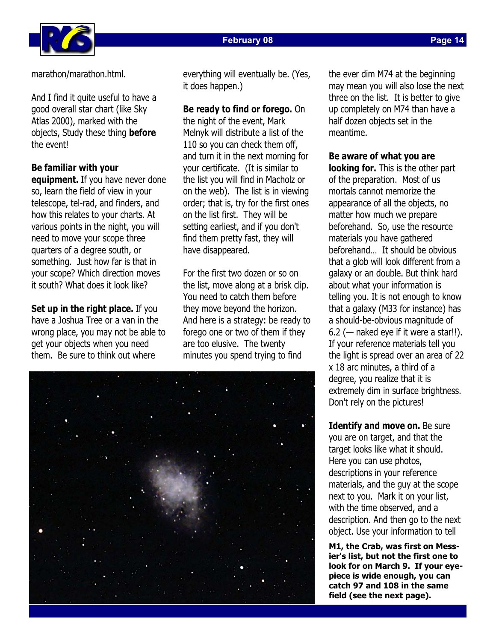

**Page 14** 

marathon/marathon.html.

And I find it quite useful to have a good overall star chart (like Sky Atlas 2000), marked with the objects, Study these thing **before** the event!

### **Be familiar with your**

**equipment.** If you have never done so, learn the field of view in your telescope, tel-rad, and finders, and how this relates to your charts. At various points in the night, you will need to move your scope three quarters of a degree south, or something. Just how far is that in your scope? Which direction moves it south? What does it look like?

**Set up in the right place.** If you have a Joshua Tree or a van in the wrong place, you may not be able to get your objects when you need them. Be sure to think out where

everything will eventually be. (Yes, it does happen.)

#### **Be ready to find or forego.** On

the night of the event, Mark Melnyk will distribute a list of the 110 so you can check them off, and turn it in the next morning for your certificate. (It is similar to the list you will find in Macholz or on the web). The list is in viewing order; that is, try for the first ones on the list first. They will be setting earliest, and if you don't find them pretty fast, they will have disappeared.

For the first two dozen or so on the list, move along at a brisk clip. You need to catch them before they move beyond the horizon. And here is a strategy: be ready to forego one or two of them if they are too elusive. The twenty minutes you spend trying to find



the ever dim M74 at the beginning may mean you will also lose the next three on the list. It is better to give up completely on M74 than have a half dozen objects set in the meantime.

#### **Be aware of what you are**

**looking for.** This is the other part of the preparation. Most of us mortals cannot memorize the appearance of all the objects, no matter how much we prepare beforehand. So, use the resource materials you have gathered beforehand… It should be obvious that a glob will look different from a galaxy or an double. But think hard about what your information is telling you. It is not enough to know that a galaxy (M33 for instance) has a should-be-obvious magnitude of  $6.2$  (- naked eye if it were a star!!). If your reference materials tell you the light is spread over an area of 22 x 18 arc minutes, a third of a degree, you realize that it is extremely dim in surface brightness. Don't rely on the pictures!

**Identify and move on.** Be sure you are on target, and that the target looks like what it should. Here you can use photos, descriptions in your reference materials, and the guy at the scope next to you. Mark it on your list, with the time observed, and a description. And then go to the next object. Use your information to tell

**M1, the Crab, was first on Messier's list, but not the first one to look for on March 9. If your eyepiece is wide enough, you can catch 97 and 108 in the same field (see the next page).**